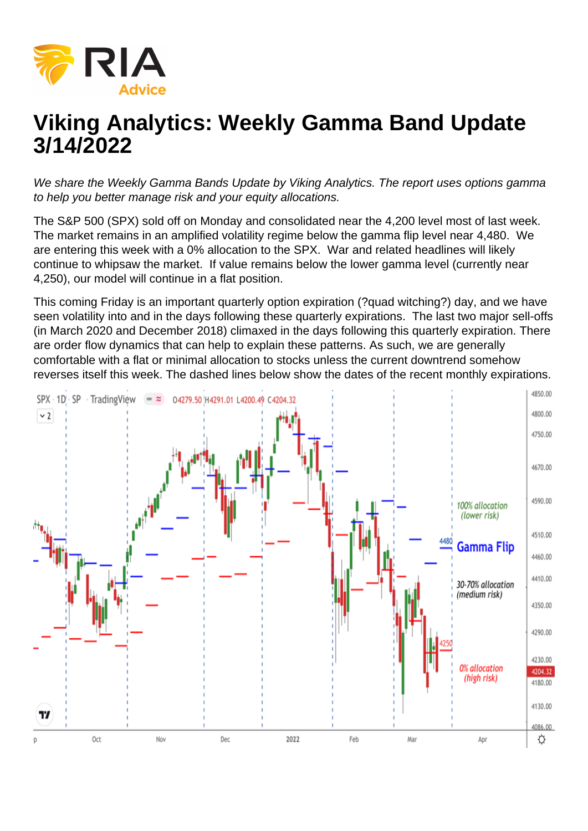## Viking Analytics: Weekly Gamma Band Update 3/14/2022

We share the Weekly Gamma Bands Update by Viking Analytics. The report uses options gamma to help you better manage risk and your equity allocations.

The S&P 500 (SPX) sold off on Monday and consolidated near the 4,200 level most of last week. The market remains in an amplified volatility regime below the gamma flip level near 4,480. We are entering this week with a 0% allocation to the SPX. War and related headlines will likely continue to whipsaw the market. If value remains below the lower gamma level (currently near 4,250), our model will continue in a flat position.

This coming Friday is an important quarterly option expiration (?quad witching?) day, and we have seen volatility into and in the days following these quarterly expirations. The last two major sell-offs (in March 2020 and December 2018) climaxed in the days following this quarterly expiration. There are order flow dynamics that can help to explain these patterns. As such, we are generally comfortable with a flat or minimal allocation to stocks unless the current downtrend somehow reverses itself this week. The dashed lines below show the dates of the recent monthly expirations.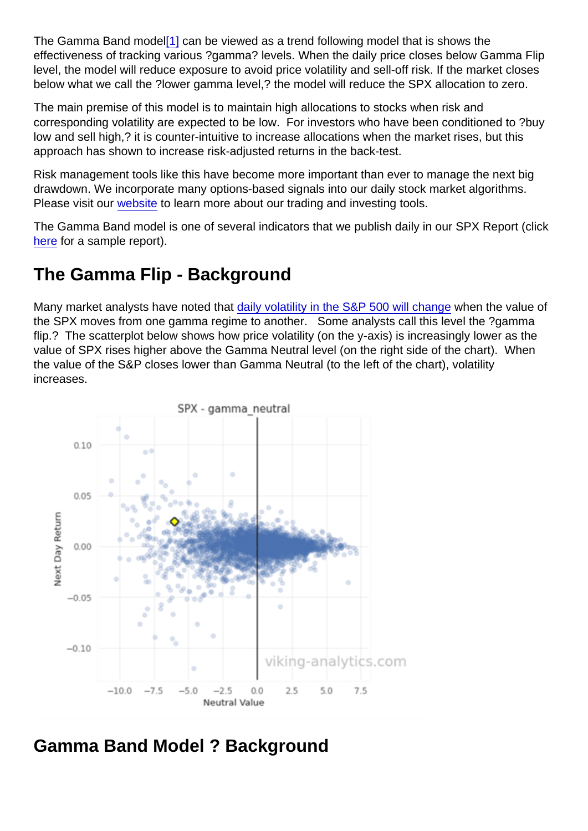<span id="page-1-0"></span>The Gamma Band mode[l\[1\]](#page-2-0) can be viewed as a trend following model that is shows the effectiveness of tracking various ?gamma? levels. When the daily price closes below Gamma Flip level, the model will reduce exposure to avoid price volatility and sell-off risk. If the market closes below what we call the ?lower gamma level,? the model will reduce the SPX allocation to zero.

The main premise of this model is to maintain high allocations to stocks when risk and corresponding volatility are expected to be low. For investors who have been conditioned to ?buy low and sell high,? it is counter-intuitive to increase allocations when the market rises, but this approach has shown to increase risk-adjusted returns in the back-test.

Risk management tools like this have become more important than ever to manage the next big drawdown. We incorporate many options-based signals into our daily stock market algorithms. Please visit our [website](https://viking-analytics.com/) to learn more about our trading and investing tools.

The Gamma Band model is one of several indicators that we publish daily in our SPX Report (click [here](https://sowl.co/bujTeT) for a sample report).

## The Gamma Flip - Background

Many market analysts have noted that [daily volatility in the S&P 500 will change](https://www.wsj.com/articles/markets-are-calm-then-suddenly-go-crazy-some-investors-think-they-know-why-11562666400?shareToken=st3e86ec3955124ea48f33c65b52e2be75) when the value of the SPX moves from one gamma regime to another. Some analysts call this level the ?gamma flip.? The scatterplot below shows how price volatility (on the y-axis) is increasingly lower as the value of SPX rises higher above the Gamma Neutral level (on the right side of the chart). When the value of the S&P closes lower than Gamma Neutral (to the left of the chart), volatility increases.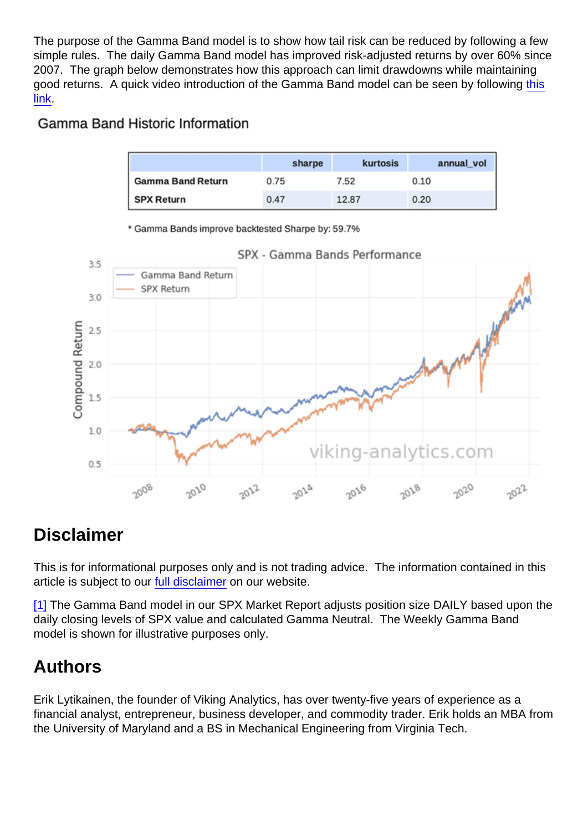<span id="page-2-0"></span>The purpose of the Gamma Band model is to show how tail risk can be reduced by following a few simple rules. The daily Gamma Band model has improved risk-adjusted returns by over 60% since 2007. The graph below demonstrates how this approach can limit drawdowns while maintaining good returns. A quick video introduction of the Gamma Band model can be seen by following [this](https://youtu.be/VRWweBwa6XY) [link](https://youtu.be/VRWweBwa6XY).

## Disclaimer

This is for informational purposes only and is not trading advice. The information contained in this article is subject to our [full disclaimer](https://viking-analytics.com/disclaimer) on our website.

[\[1\]](#page-1-0) The Gamma Band model in our SPX Market Report adjusts position size DAILY based upon the daily closing levels of SPX value and calculated Gamma Neutral. The Weekly Gamma Band model is shown for illustrative purposes only.

## Authors

Erik Lytikainen, the founder of Viking Analytics, has over twenty-five years of experience as a financial analyst, entrepreneur, business developer, and commodity trader. Erik holds an MBA from the University of Maryland and a BS in Mechanical Engineering from Virginia Tech.